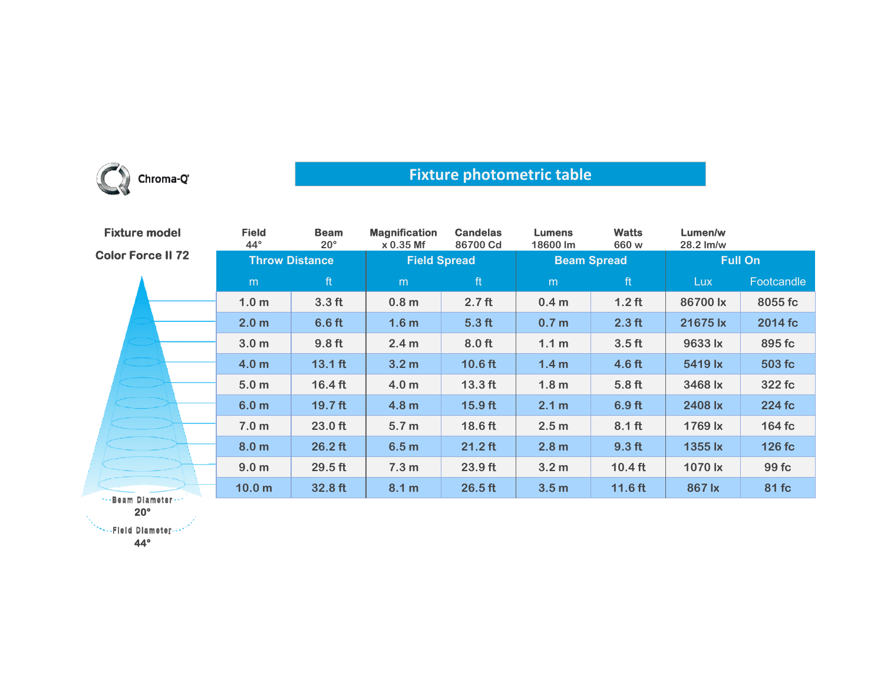

## **Fixture photometric table**

| <b>Fixture model</b>     | <b>Field</b><br>$44^\circ$ | <b>Beam</b><br>$20^{\circ}$ | <b>Magnification</b><br>x 0.35 Mf | <b>Candelas</b><br>86700 Cd | <b>Lumens</b><br>18600 lm | <b>Watts</b><br>660 w | Lumen/w<br>28.2 lm/w |            |
|--------------------------|----------------------------|-----------------------------|-----------------------------------|-----------------------------|---------------------------|-----------------------|----------------------|------------|
| <b>Color Force II 72</b> | <b>Throw Distance</b>      |                             | <b>Field Spread</b>               |                             | <b>Beam Spread</b>        |                       | <b>Full On</b>       |            |
|                          | m                          | ft                          | m                                 | ft                          | m                         | ft                    | Lux                  | Footcandle |
|                          | 1.0 <sub>m</sub>           | 3.3 <sub>ft</sub>           | 0.8 <sub>m</sub>                  | 2.7 <sub>ft</sub>           | 0.4 <sub>m</sub>          | $1.2$ ft              | 86700 lx             | 8055 fc    |
|                          | 2.0 <sub>m</sub>           | $6.6$ ft                    | 1.6 <sub>m</sub>                  | 5.3 <sub>ft</sub>           | 0.7 <sub>m</sub>          | $2.3$ ft              | 21675 lx             | 2014 fc    |
|                          | 3.0 <sub>m</sub>           | 9.8 <sub>ft</sub>           | 2.4 <sub>m</sub>                  | 8.0 <sub>ft</sub>           | 1.1 <sub>m</sub>          | 3.5 <sub>ft</sub>     | 9633 lx              | 895 fc     |
|                          | 4.0 <sub>m</sub>           | $13.1$ ft                   | 3.2 <sub>m</sub>                  | $10.6$ ft                   | 1.4 <sub>m</sub>          | $4.6$ ft              | 5419 lx              | 503 fc     |
|                          | 5.0 <sub>m</sub>           | $16.4 \text{ ft}$           | 4.0 <sub>m</sub>                  | $13.3$ ft                   | 1.8 <sub>m</sub>          | 5.8 <sub>ft</sub>     | 3468 lx              | 322 fc     |
|                          | 6.0 <sub>m</sub>           | 19.7 <sub>ft</sub>          | 4.8 <sub>m</sub>                  | $15.9$ ft                   | 2.1 m                     | 6.9 <sub>ft</sub>     | 2408 lx              | 224 fc     |
|                          | 7.0 <sub>m</sub>           | 23.0 ft                     | 5.7 <sub>m</sub>                  | 18.6 ft                     | 2.5 <sub>m</sub>          | $8.1$ ft              | 1769 lx              | 164 fc     |
|                          | 8.0 <sub>m</sub>           | $26.2$ ft                   | 6.5 <sub>m</sub>                  | $21.2$ ft                   | 2.8 <sub>m</sub>          | 9.3 <sub>ft</sub>     | 1355 lx              | 126 fc     |
|                          | 9.0 <sub>m</sub>           | $29.5$ ft                   | 7.3 <sub>m</sub>                  | 23.9 ft                     | 3.2 <sub>m</sub>          | $10.4$ ft             | 1070 lx              | 99 fc      |
| Boom Blometon            | 10.0 <sub>m</sub>          | 32.8 ft                     | 8.1 m                             | $26.5$ ft                   | 3.5 <sub>m</sub>          | $11.6$ ft             | 867 lx               | 81 fc      |

<mark>...</mark>Beam Diameter **20°**

**44°**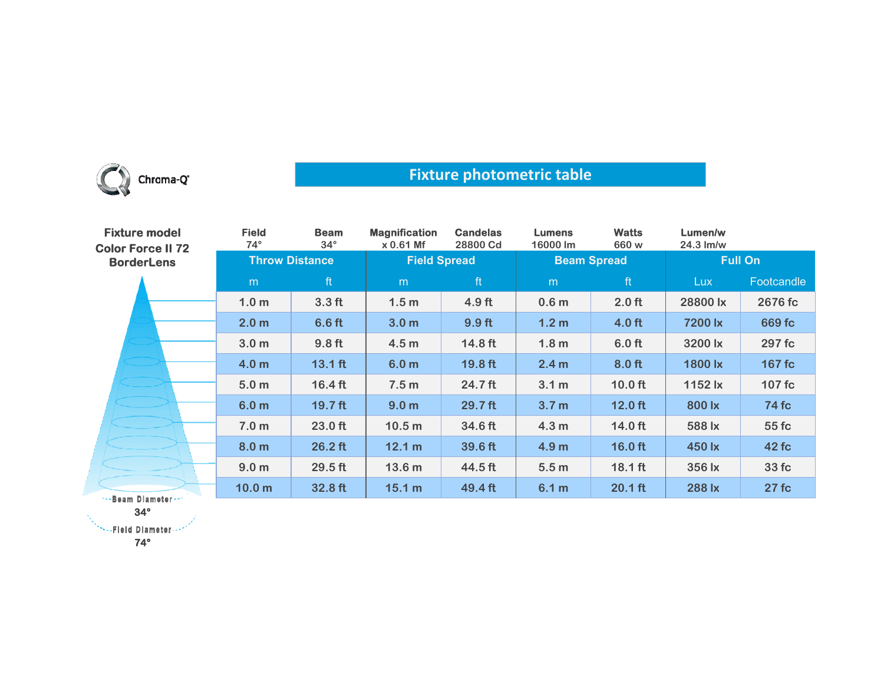

## **Fixture photometric table**

| <b>Fixture model</b><br><b>Color Force II 72</b> | <b>Field</b><br>$74^\circ$ | <b>Beam</b><br>$34^\circ$ | <b>Magnification</b><br>x 0.61 Mf | <b>Candelas</b><br>28800 Cd | <b>Lumens</b><br>16000 lm | <b>Watts</b><br>660 w | Lumen/w<br>$24.3 \text{ Im/w}$ |              |
|--------------------------------------------------|----------------------------|---------------------------|-----------------------------------|-----------------------------|---------------------------|-----------------------|--------------------------------|--------------|
| <b>BorderLens</b>                                | <b>Throw Distance</b>      |                           | <b>Field Spread</b>               |                             | <b>Beam Spread</b>        |                       | <b>Full On</b>                 |              |
|                                                  | m                          | ft                        | m                                 | ft                          | m                         | ft                    | Lux.                           | Footcandle   |
|                                                  | 1.0 <sub>m</sub>           | 3.3 <sub>ft</sub>         | 1.5 <sub>m</sub>                  | 4.9 <sub>ft</sub>           | 0.6 <sub>m</sub>          | $2.0$ ft              | 28800 lx                       | 2676 fc      |
|                                                  | 2.0 <sub>m</sub>           | 6.6 <sub>ft</sub>         | 3.0 <sub>m</sub>                  | 9.9 ft                      | 1.2 <sub>m</sub>          | $4.0$ ft              | 7200 lx                        | 669 fc       |
|                                                  | 3.0 <sub>m</sub>           | 9.8 <sub>ft</sub>         | 4.5 <sub>m</sub>                  | 14.8 ft                     | 1.8 <sub>m</sub>          | $6.0$ ft              | 3200 lx                        | 297 fc       |
|                                                  | 4.0 <sub>m</sub>           | $13.1$ ft                 | 6.0 <sub>m</sub>                  | 19.8 ft                     | 2.4 <sub>m</sub>          | $8.0$ ft              | 1800 lx                        | 167 fc       |
|                                                  | 5.0 <sub>m</sub>           | $16.4 \text{ ft}$         | 7.5 <sub>m</sub>                  | $24.7$ ft                   | 3.1 <sub>m</sub>          | $10.0$ ft             | 1152 lx                        | 107 fc       |
|                                                  | 6.0 <sub>m</sub>           | $19.7$ ft                 | 9.0 <sub>m</sub>                  | 29.7 ft                     | 3.7 <sub>m</sub>          | $12.0$ ft             | 800 lx                         | <b>74 fc</b> |
|                                                  | 7.0 <sub>m</sub>           | 23.0 ft                   | 10.5 <sub>m</sub>                 | 34.6 ft                     | 4.3 <sub>m</sub>          | $14.0$ ft             | 588 lx                         | 55 fc        |
|                                                  | 8.0 <sub>m</sub>           | $26.2$ ft                 | 12.1 m                            | 39.6 ft                     | 4.9 <sub>m</sub>          | $16.0$ ft             | 450 lx                         | 42 fc        |
|                                                  | 9.0 <sub>m</sub>           | 29.5 ft                   | 13.6 <sub>m</sub>                 | 44.5 ft                     | 5.5 <sub>m</sub>          | $18.1$ ft             | 356 lx                         | 33 fc        |
| s. Baam Blamadar                                 | 10.0 <sub>m</sub>          | 32.8 ft                   | 15.1 m                            | 49.4 ft                     | 6.1 m                     | $20.1$ ft             | 288 lx                         | 27 fc        |

<mark>-Beam Diameter</mark> **34°**

**SEE Diameter --**

**74°**